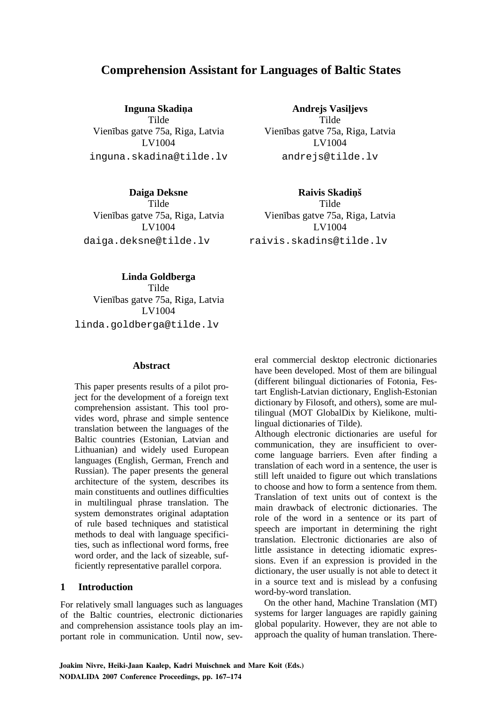# **Comprehension Assistant for Languages of Baltic States**

**Inguna Skadina** Tilde Vienības gatve 75a, Riga, Latvia LV1004 inguna.skadina@tilde.lv

**Andrejs Vasiljevs** Tilde Vienības gatve 75a, Riga, Latvia LV1004 andrejs@tilde.lv

**Daiga Deksne**  Tilde Vienības gatve 75a, Riga, Latvia LV1004 daiga.deksne@tilde.lv

**Raivis Skadinš** Tilde Vienības gatve 75a, Riga, Latvia LV1004 raivis.skadins@tilde.lv

**Linda Goldberga**  Tilde Vienības gatve 75a, Riga, Latvia LV1004 linda.goldberga@tilde.lv

# **Abstract**

This paper presents results of a pilot project for the development of a foreign text comprehension assistant. This tool provides word, phrase and simple sentence translation between the languages of the Baltic countries (Estonian, Latvian and Lithuanian) and widely used European languages (English, German, French and Russian). The paper presents the general architecture of the system, describes its main constituents and outlines difficulties in multilingual phrase translation. The system demonstrates original adaptation of rule based techniques and statistical methods to deal with language specificities, such as inflectional word forms, free word order, and the lack of sizeable, sufficiently representative parallel corpora.

# **1 Introduction**

For relatively small languages such as languages of the Baltic countries, electronic dictionaries and comprehension assistance tools play an important role in communication. Until now, several commercial desktop electronic dictionaries have been developed. Most of them are bilingual (different bilingual dictionaries of Fotonia, Festart English-Latvian dictionary, English-Estonian dictionary by Filosoft, and others), some are multilingual (MOT GlobalDix by Kielikone, multilingual dictionaries of Tilde).

Although electronic dictionaries are useful for communication, they are insufficient to overcome language barriers. Even after finding a translation of each word in a sentence, the user is still left unaided to figure out which translations to choose and how to form a sentence from them. Translation of text units out of context is the main drawback of electronic dictionaries. The role of the word in a sentence or its part of speech are important in determining the right translation. Electronic dictionaries are also of little assistance in detecting idiomatic expressions. Even if an expression is provided in the dictionary, the user usually is not able to detect it in a source text and is mislead by a confusing word-by-word translation.

On the other hand, Machine Translation (MT) systems for larger languages are rapidly gaining global popularity. However, they are not able to approach the quality of human translation. There-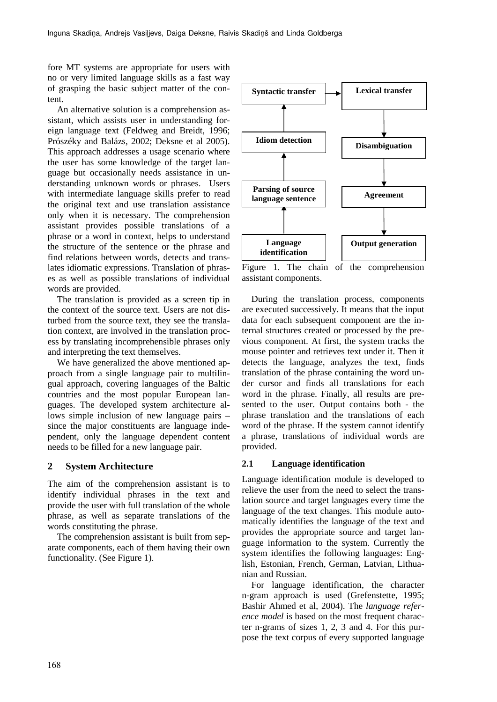fore MT systems are appropriate for users with no or very limited language skills as a fast way of grasping the basic subject matter of the content.

An alternative solution is a comprehension assistant, which assists user in understanding foreign language text (Feldweg and Breidt, 1996; Prószéky and Balázs, 2002; Deksne et al 2005). This approach addresses a usage scenario where the user has some knowledge of the target language but occasionally needs assistance in understanding unknown words or phrases. Users with intermediate language skills prefer to read the original text and use translation assistance only when it is necessary. The comprehension assistant provides possible translations of a phrase or a word in context, helps to understand the structure of the sentence or the phrase and find relations between words, detects and translates idiomatic expressions. Translation of phrases as well as possible translations of individual words are provided.

The translation is provided as a screen tip in the context of the source text. Users are not disturbed from the source text, they see the translation context, are involved in the translation process by translating incomprehensible phrases only and interpreting the text themselves.

We have generalized the above mentioned approach from a single language pair to multilingual approach, covering languages of the Baltic countries and the most popular European languages. The developed system architecture allows simple inclusion of new language pairs – since the major constituents are language independent, only the language dependent content needs to be filled for a new language pair.

#### **2 System Architecture**

The aim of the comprehension assistant is to identify individual phrases in the text and provide the user with full translation of the whole phrase, as well as separate translations of the words constituting the phrase.

The comprehension assistant is built from separate components, each of them having their own functionality. (See Figure 1).



Figure 1. The chain of the comprehension assistant components.

During the translation process, components are executed successively. It means that the input data for each subsequent component are the internal structures created or processed by the previous component. At first, the system tracks the mouse pointer and retrieves text under it. Then it detects the language, analyzes the text, finds translation of the phrase containing the word under cursor and finds all translations for each word in the phrase. Finally, all results are presented to the user. Output contains both - the phrase translation and the translations of each word of the phrase. If the system cannot identify a phrase, translations of individual words are provided.

#### **2.1 Language identification**

Language identification module is developed to relieve the user from the need to select the translation source and target languages every time the language of the text changes. This module automatically identifies the language of the text and provides the appropriate source and target language information to the system. Currently the system identifies the following languages: English, Estonian, French, German, Latvian, Lithuanian and Russian.

For language identification, the character n-gram approach is used (Grefenstette, 1995; Bashir Ahmed et al, 2004). The *language reference model* is based on the most frequent character n-grams of sizes 1, 2, 3 and 4. For this purpose the text corpus of every supported language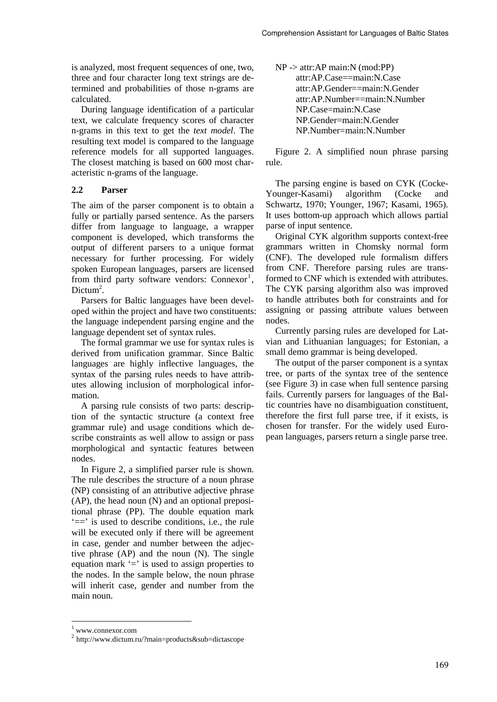is analyzed, most frequent sequences of one, two, three and four character long text strings are determined and probabilities of those n-grams are calculated.

During language identification of a particular text, we calculate frequency scores of character n-grams in this text to get the *text model*. The resulting text model is compared to the language reference models for all supported languages. The closest matching is based on 600 most characteristic n-grams of the language.

# **2.2 Parser**

The aim of the parser component is to obtain a fully or partially parsed sentence. As the parsers differ from language to language, a wrapper component is developed, which transforms the output of different parsers to a unique format necessary for further processing. For widely spoken European languages, parsers are licensed from third party software vendors:  $Connect<sup>1</sup>$ , Dictum<sup>2</sup>.

Parsers for Baltic languages have been developed within the project and have two constituents: the language independent parsing engine and the language dependent set of syntax rules.

The formal grammar we use for syntax rules is derived from unification grammar*.* Since Baltic languages are highly inflective languages, the syntax of the parsing rules needs to have attributes allowing inclusion of morphological information.

A parsing rule consists of two parts: description of the syntactic structure (a context free grammar rule) and usage conditions which describe constraints as well allow to assign or pass morphological and syntactic features between nodes.

In Figure 2, a simplified parser rule is shown. The rule describes the structure of a noun phrase (NP) consisting of an attributive adjective phrase (AP), the head noun (N) and an optional prepositional phrase (PP). The double equation mark '==' is used to describe conditions, i.e., the rule will be executed only if there will be agreement in case, gender and number between the adjective phrase (AP) and the noun (N). The single equation mark  $\equiv$  is used to assign properties to the nodes. In the sample below, the noun phrase will inherit case, gender and number from the main noun.

| $NP \rightarrow attr:AP \, main: N \, (mod:PP)$ |
|-------------------------------------------------|
| attr:AP.Case==main:N.Case                       |
| attr:AP.Gender==main:N.Gender                   |
| attr:AP.Number==main:N.Number                   |
| NP.Case=main:N.Case                             |
| NP.Gender=main:N.Gender                         |
| NP.Number=main:N.Number                         |

Figure 2. A simplified noun phrase parsing rule.

The parsing engine is based on CYK (Cocke-Younger-Kasami) algorithm (Cocke and Schwartz, 1970; Younger, 1967; Kasami, 1965). It uses bottom-up approach which allows partial parse of input sentence.

Original CYK algorithm supports context-free grammars written in Chomsky normal form (CNF). The developed rule formalism differs from CNF. Therefore parsing rules are transformed to CNF which is extended with attributes. The CYK parsing algorithm also was improved to handle attributes both for constraints and for assigning or passing attribute values between nodes.

Currently parsing rules are developed for Latvian and Lithuanian languages; for Estonian, a small demo grammar is being developed.

The output of the parser component is a syntax tree, or parts of the syntax tree of the sentence (see Figure 3) in case when full sentence parsing fails. Currently parsers for languages of the Baltic countries have no disambiguation constituent, therefore the first full parse tree, if it exists, is chosen for transfer. For the widely used European languages, parsers return a single parse tree.

<sup>1</sup> www.connexor.com

<sup>2</sup> http://www.dictum.ru/?main=products&sub=dictascope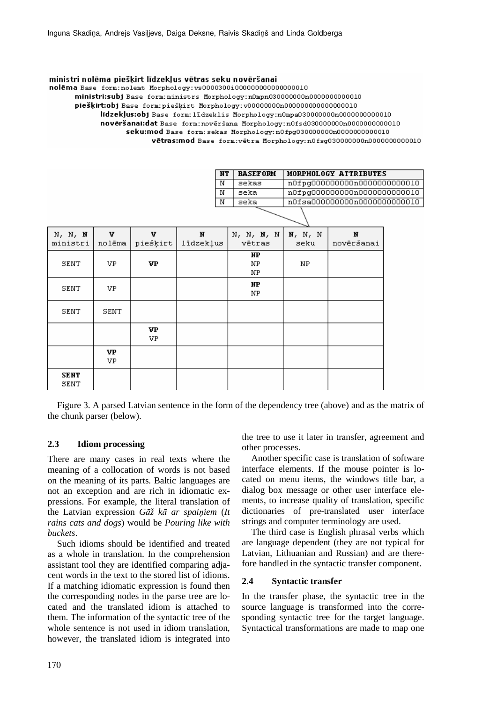#### ministri nolēma piešķirt līdzekļus vētras seku novēršanai

nolēma Base form:nolemt Morphology:vs0000300i000000000000000010

piešķirt:obj Base form: piešķirt Morphology: v0000000000000000000000000010

līdzekļus:obj Base form: līdzeklis Morphology:n0mpa030000000000000000000010

novēršanai:dat Base form:novēršana Morphology:n0fsd030000000000000000000010

seku:mod Base form: sekas Morphology: n0fpg030000000000000000000000000

vētras:mod Base form: vētra Morphology: n0fsg0300000000n0000000000010

| NТ | <b>BASEFORM</b> | MORPHOLOGY ATTRIBUTES         |
|----|-----------------|-------------------------------|
| Ν  | sekas           | n0fpg000000000n00000000000010 |
| Ν  | seka            | n0fpg000000000n00000000000010 |
| Ν  | seka            | n0fsa000000000n00000000000010 |
|    |                 |                               |

| N, N, N<br>ministri | V<br>nolēma | v<br>piešķirt | И<br>līdzekļus | N, N, N, N<br>vētras | N, N, N<br>seku | N<br>novēršanai |
|---------------------|-------------|---------------|----------------|----------------------|-----------------|-----------------|
| SENT                | VP.         | VP            |                | NP<br>ΝP<br>NP       | NP.             |                 |
| SENT                | VP.         |               |                | NP<br>NP             |                 |                 |
| SENT                | SENT        |               |                |                      |                 |                 |
|                     |             | VP<br>VP.     |                |                      |                 |                 |
|                     | VP<br>VP    |               |                |                      |                 |                 |
| <b>SENT</b><br>SENT |             |               |                |                      |                 |                 |

Figure 3. A parsed Latvian sentence in the form of the dependency tree (above) and as the matrix of the chunk parser (below).

# **2.3 Idiom processing**

There are many cases in real texts where the meaning of a collocation of words is not based on the meaning of its parts. Baltic languages are not an exception and are rich in idiomatic expressions. For example, the literal translation of the Latvian expression *G* $\bar{a}$  $\check{z}$  *ka ar spainiem* (*It rains cats and dogs*) would be *Pouring like with buckets*.

Such idioms should be identified and treated as a whole in translation. In the comprehension assistant tool they are identified comparing adjacent words in the text to the stored list of idioms. If a matching idiomatic expression is found then the corresponding nodes in the parse tree are located and the translated idiom is attached to them. The information of the syntactic tree of the whole sentence is not used in idiom translation, however, the translated idiom is integrated into

the tree to use it later in transfer, agreement and other processes.

Another specific case is translation of software interface elements. If the mouse pointer is located on menu items, the windows title bar, a dialog box message or other user interface elements, to increase quality of translation, specific dictionaries of pre-translated user interface strings and computer terminology are used.

The third case is English phrasal verbs which are language dependent (they are not typical for Latvian, Lithuanian and Russian) and are therefore handled in the syntactic transfer component.

#### **2.4 Syntactic transfer**

In the transfer phase, the syntactic tree in the source language is transformed into the corresponding syntactic tree for the target language. Syntactical transformations are made to map one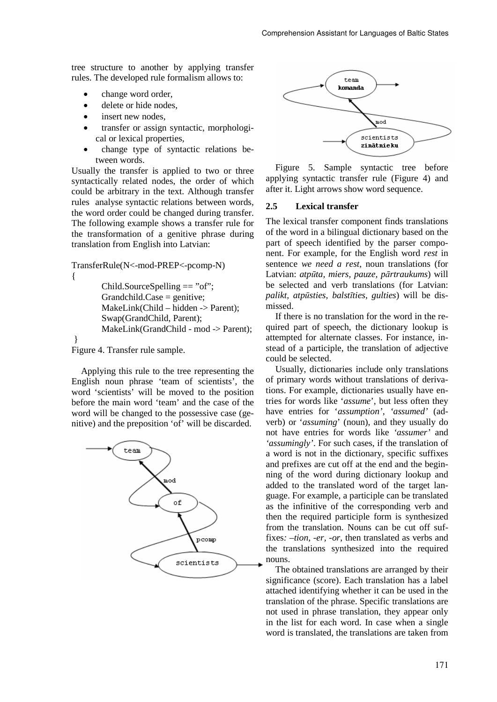tree structure to another by applying transfer rules. The developed rule formalism allows to:

- change word order,
- delete or hide nodes,
- insert new nodes.
- transfer or assign syntactic, morphological or lexical properties,
- change type of syntactic relations between words.

Usually the transfer is applied to two or three syntactically related nodes, the order of which could be arbitrary in the text. Although transfer rules analyse syntactic relations between words, the word order could be changed during transfer. The following example shows a transfer rule for the transformation of a genitive phrase during translation from English into Latvian:

```
TransferRule(N<-mod-PREP<-pcomp-N) 
\left\{ \right.Child.SourceSpelling == "of";
        Grandchild.Case = genitive; MakeLink(Child – hidden -> Parent); 
         Swap(GrandChild, Parent); 
         MakeLink(GrandChild - mod -> Parent); 
 } 
Figure 4. Transfer rule sample.
```
Applying this rule to the tree representing the English noun phrase 'team of scientists', the word 'scientists' will be moved to the position before the main word 'team' and the case of the word will be changed to the possessive case (genitive) and the preposition 'of' will be discarded.





Figure 5. Sample syntactic tree before applying syntactic transfer rule (Figure 4) and after it. Light arrows show word sequence.

### **2.5 Lexical transfer**

The lexical transfer component finds translations of the word in a bilingual dictionary based on the part of speech identified by the parser component. For example, for the English word *rest* in sentence *we need a rest*, noun translations (for Latvian: *atp*ū*ta, miers, pauze, p*ā*rtraukums*) will be selected and verb translations (for Latvian: *palikt, atp*ū*sties, balst*ī*ties, gulties*) will be dismissed.

If there is no translation for the word in the required part of speech, the dictionary lookup is attempted for alternate classes. For instance, instead of a participle, the translation of adjective could be selected.

Usually, dictionaries include only translations of primary words without translations of derivations. For example, dictionaries usually have entries for words like '*assume*', but less often they have entries for '*assumption', 'assumed'* (adverb) or '*assuming*' (noun), and they usually do not have entries for words like *'assumer'* and *'assumingly'*. For such cases, if the translation of a word is not in the dictionary, specific suffixes and prefixes are cut off at the end and the beginning of the word during dictionary lookup and added to the translated word of the target language. For example, a participle can be translated as the infinitive of the corresponding verb and then the required participle form is synthesized from the translation. Nouns can be cut off suffixes*: –tion, -er, -or*, then translated as verbs and the translations synthesized into the required nouns.

The obtained translations are arranged by their significance (score). Each translation has a label attached identifying whether it can be used in the translation of the phrase. Specific translations are not used in phrase translation, they appear only in the list for each word. In case when a single word is translated, the translations are taken from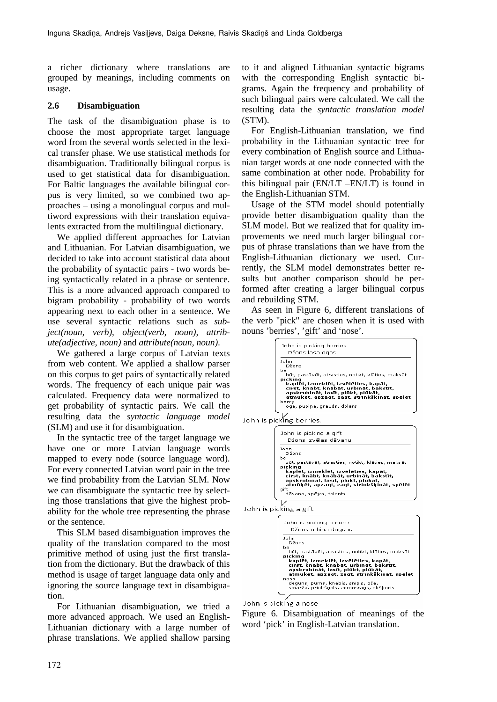a richer dictionary where translations are grouped by meanings, including comments on usage.

# **2.6 Disambiguation**

The task of the disambiguation phase is to choose the most appropriate target language word from the several words selected in the lexical transfer phase. We use statistical methods for disambiguation. Traditionally bilingual corpus is used to get statistical data for disambiguation. For Baltic languages the available bilingual corpus is very limited, so we combined two approaches – using a monolingual corpus and multiword expressions with their translation equivalents extracted from the multilingual dictionary.

We applied different approaches for Latvian and Lithuanian. For Latvian disambiguation, we decided to take into account statistical data about the probability of syntactic pairs - two words being syntactically related in a phrase or sentence. This is a more advanced approach compared to bigram probability - probability of two words appearing next to each other in a sentence. We use several syntactic relations such as *subject(noun, verb)*, *object(verb, noun), attribute(adjective, noun)* and *attribute(noun, noun)*.

We gathered a large corpus of Latvian texts from web content. We applied a shallow parser on this corpus to get pairs of syntactically related words. The frequency of each unique pair was calculated. Frequency data were normalized to get probability of syntactic pairs. We call the resulting data the *syntactic language model* (SLM) and use it for disambiguation.

In the syntactic tree of the target language we have one or more Latvian language words mapped to every node (source language word). For every connected Latvian word pair in the tree we find probability from the Latvian SLM. Now we can disambiguate the syntactic tree by selecting those translations that give the highest probability for the whole tree representing the phrase or the sentence.

This SLM based disambiguation improves the quality of the translation compared to the most primitive method of using just the first translation from the dictionary. But the drawback of this method is usage of target language data only and ignoring the source language text in disambiguation.

For Lithuanian disambiguation, we tried a more advanced approach. We used an English-Lithuanian dictionary with a large number of phrase translations. We applied shallow parsing

to it and aligned Lithuanian syntactic bigrams with the corresponding English syntactic bigrams. Again the frequency and probability of such bilingual pairs were calculated. We call the resulting data the *syntactic translation model* (STM).

For English-Lithuanian translation, we find probability in the Lithuanian syntactic tree for every combination of English source and Lithuanian target words at one node connected with the same combination at other node. Probability for this bilingual pair (EN/LT –EN/LT) is found in the English-Lithuanian STM.

Usage of the STM model should potentially provide better disambiguation quality than the SLM model. But we realized that for quality improvements we need much larger bilingual corpus of phrase translations than we have from the English-Lithuanian dictionary we used. Currently, the SLM model demonstrates better results but another comparison should be performed after creating a larger bilingual corpus and rebuilding STM.

As seen in Figure 6, different translations of the verb "pick" are chosen when it is used with nouns 'berries', 'gift' and 'nose'.



John is picking berries.

|      | John is picking a gift<br>Džons izvēlas dāvanu                                                                                                                                        |
|------|---------------------------------------------------------------------------------------------------------------------------------------------------------------------------------------|
| he.  | John<br>Džons                                                                                                                                                                         |
|      | būt, pastāvēt, atrasties, notikt, klāties, maksāt<br>pickina<br>kaplēt, izmeklēt, izvēlēties, kapāt,<br>cirst, knābt, knābāt, urbināt, bakstīt,<br>apskrubināt, lasīt, plūkt, plūkāt, |
| aift | atmūķēt, apzagt, zagt, strinkšķināt, spēlēt<br>dāvana, spējas, talants                                                                                                                |

John is picking a gift



John is picking a nose

Figure 6. Disambiguation of meanings of the word 'pick' in English-Latvian translation.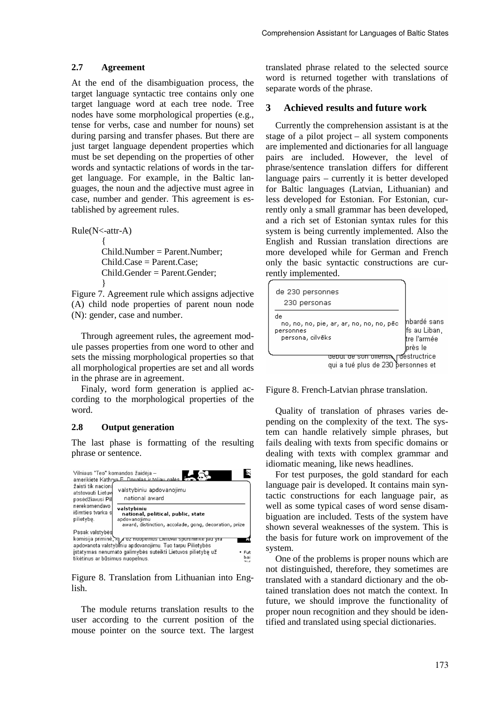### **2.7 Agreement**

At the end of the disambiguation process, the target language syntactic tree contains only one target language word at each tree node. Tree nodes have some morphological properties (e.g., tense for verbs, case and number for nouns) set during parsing and transfer phases. But there are just target language dependent properties which must be set depending on the properties of other words and syntactic relations of words in the target language. For example, in the Baltic languages, the noun and the adjective must agree in case, number and gender. This agreement is established by agreement rules.

Rule(N<-attr-A)

 $\{$  Child.Number = Parent.Number; Child.Case = Parent.Case; Child.Gender = Parent.Gender; }

Figure 7. Agreement rule which assigns adjective (A) child node properties of parent noun node (N): gender, case and number.

Through agreement rules, the agreement module passes properties from one word to other and sets the missing morphological properties so that all morphological properties are set and all words in the phrase are in agreement.

Finaly, word form generation is applied according to the morphological properties of the word.

# **2.8 Output generation**

The last phase is formatting of the resulting phrase or sentence.



Figure 8. Translation from Lithuanian into English.

The module returns translation results to the user according to the current position of the mouse pointer on the source text. The largest

translated phrase related to the selected source word is returned together with translations of separate words of the phrase.

# **3 Achieved results and future work**

Currently the comprehension assistant is at the stage of a pilot project – all system components are implemented and dictionaries for all language pairs are included. However, the level of phrase/sentence translation differs for different language pairs – currently it is better developed for Baltic languages (Latvian, Lithuanian) and less developed for Estonian. For Estonian, currently only a small grammar has been developed, and a rich set of Estonian syntax rules for this system is being currently implemented. Also the English and Russian translation directions are more developed while for German and French only the basic syntactic constructions are currently implemented.



Figure 8. French-Latvian phrase translation.

Quality of translation of phrases varies depending on the complexity of the text. The system can handle relatively simple phrases, but fails dealing with texts from specific domains or dealing with texts with complex grammar and idiomatic meaning, like news headlines.

For test purposes, the gold standard for each language pair is developed. It contains main syntactic constructions for each language pair, as well as some typical cases of word sense disambiguation are included. Tests of the system have shown several weaknesses of the system. This is the basis for future work on improvement of the system.

One of the problems is proper nouns which are not distinguished, therefore, they sometimes are translated with a standard dictionary and the obtained translation does not match the context. In future, we should improve the functionality of proper noun recognition and they should be identified and translated using special dictionaries.